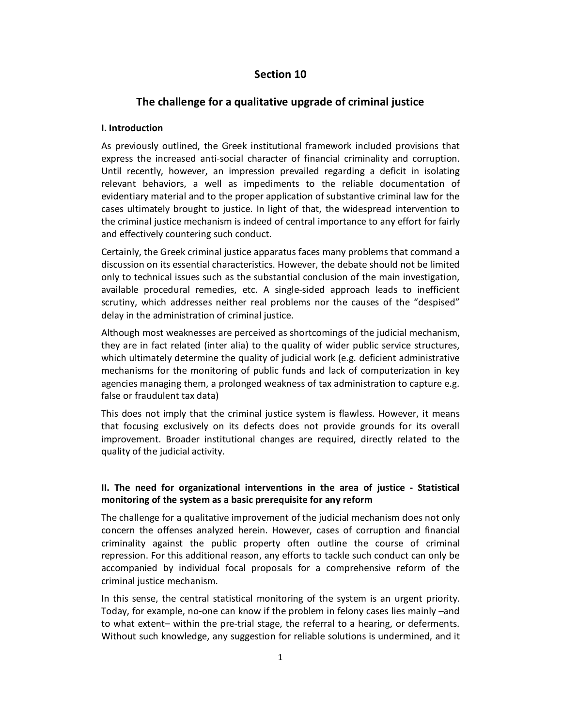## **Section 10**

# **The challenge for a qualitative upgrade of criminal justice**

#### **Ι. Introduction**

As previously outlined, the Greek institutional framework included provisions that express the increased anti-social character of financial criminality and corruption. Until recently, however, an impression prevailed regarding a deficit in isolating relevant behaviors, a well as impediments to the reliable documentation of evidentiary material and to the proper application of substantive criminal law for the cases ultimately brought to justice. In light of that, the widespread intervention to the criminal justice mechanism is indeed of central importance to any effort for fairly and effectively countering such conduct.

Certainly, the Greek criminal justice apparatus faces many problems that command a discussion on its essential characteristics. However, the debate should not be limited only to technical issues such as the substantial conclusion of the main investigation, available procedural remedies, etc. A single-sided approach leads to inefficient scrutiny, which addresses neither real problems nor the causes of the "despised" delay in the administration of criminal justice.

Although most weaknesses are perceived as shortcomings of the judicial mechanism, they are in fact related (inter alia) to the quality of wider public service structures, which ultimately determine the quality of judicial work (e.g. deficient administrative mechanisms for the monitoring of public funds and lack of computerization in key agencies managing them, a prolonged weakness of tax administration to capture e.g. false or fraudulent tax data)

This does not imply that the criminal justice system is flawless. However, it means that focusing exclusively on its defects does not provide grounds for its overall improvement. Broader institutional changes are required, directly related to the quality of the judicial activity.

## **ΙΙ. The need for organizational interventions in the area of justice - Statistical monitoring of the system as a basic prerequisite for any reform**

The challenge for a qualitative improvement of the judicial mechanism does not only concern the offenses analyzed herein. However, cases of corruption and financial criminality against the public property often outline the course of criminal repression. For this additional reason, any efforts to tackle such conduct can only be accompanied by individual focal proposals for a comprehensive reform of the criminal justice mechanism.

In this sense, the central statistical monitoring of the system is an urgent priority. Today, for example, no-one can know if the problem in felony cases lies mainly –and to what extent– within the pre-trial stage, the referral to a hearing, or deferments. Without such knowledge, any suggestion for reliable solutions is undermined, and it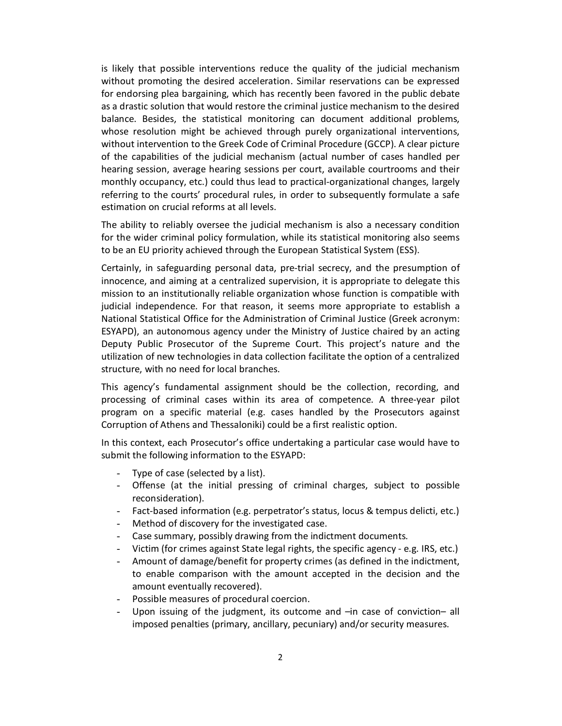is likely that possible interventions reduce the quality of the judicial mechanism without promoting the desired acceleration. Similar reservations can be expressed for endorsing plea bargaining, which has recently been favored in the public debate as a drastic solution that would restore the criminal justice mechanism to the desired balance. Besides, the statistical monitoring can document additional problems, whose resolution might be achieved through purely organizational interventions, without intervention to the Greek Code of Criminal Procedure (GCCP). A clear picture of the capabilities of the judicial mechanism (actual number of cases handled per hearing session, average hearing sessions per court, available courtrooms and their monthly occupancy, etc.) could thus lead to practical-organizational changes, largely referring to the courts' procedural rules, in order to subsequently formulate a safe estimation on crucial reforms at all levels.

The ability to reliably oversee the judicial mechanism is also a necessary condition for the wider criminal policy formulation, while its statistical monitoring also seems to be an EU priority achieved through the European Statistical System (ESS).

Certainly, in safeguarding personal data, pre-trial secrecy, and the presumption of innocence, and aiming at a centralized supervision, it is appropriate to delegate this mission to an institutionally reliable organization whose function is compatible with judicial independence. For that reason, it seems more appropriate to establish a National Statistical Office for the Administration of Criminal Justice (Greek acronym: ESYAPD), an autonomous agency under the Ministry of Justice chaired by an acting Deputy Public Prosecutor of the Supreme Court. This project's nature and the utilization of new technologies in data collection facilitate the option of a centralized structure, with no need for local branches.

This agency's fundamental assignment should be the collection, recording, and processing of criminal cases within its area of competence. A three-year pilot program on a specific material (e.g. cases handled by the Prosecutors against Corruption of Athens and Thessaloniki) could be a first realistic option.

In this context, each Prosecutor's office undertaking a particular case would have to submit the following information to the ESYAPD:

- Type of case (selected by a list).
- Offense (at the initial pressing of criminal charges, subject to possible reconsideration).
- Fact-based information (e.g. perpetrator's status, locus & tempus delicti, etc.)
- Method of discovery for the investigated case.
- Case summary, possibly drawing from the indictment documents.
- Victim (for crimes against State legal rights, the specific agency e.g. IRS, etc.)
- Amount of damage/benefit for property crimes (as defined in the indictment, to enable comparison with the amount accepted in the decision and the amount eventually recovered).
- Possible measures of procedural coercion.
- Upon issuing of the judgment, its outcome and –in case of conviction– all imposed penalties (primary, ancillary, pecuniary) and/or security measures.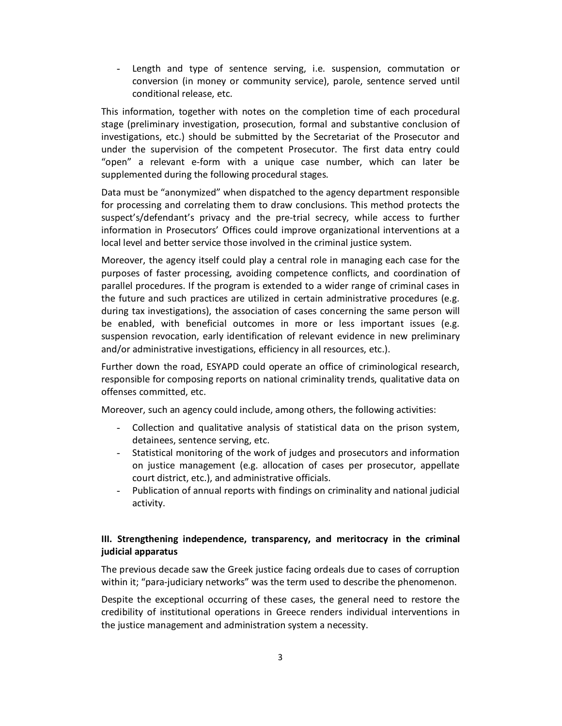- Length and type of sentence serving, i.e. suspension, commutation or conversion (in money or community service), parole, sentence served until conditional release, etc.

This information, together with notes on the completion time of each procedural stage (preliminary investigation, prosecution, formal and substantive conclusion of investigations, etc.) should be submitted by the Secretariat of the Prosecutor and under the supervision of the competent Prosecutor. The first data entry could "open" a relevant e-form with a unique case number, which can later be supplemented during the following procedural stages.

Data must be "anonymized" when dispatched to the agency department responsible for processing and correlating them to draw conclusions. This method protects the suspect's/defendant's privacy and the pre-trial secrecy, while access to further information in Prosecutors' Offices could improve organizational interventions at a local level and better service those involved in the criminal justice system.

Moreover, the agency itself could play a central role in managing each case for the purposes of faster processing, avoiding competence conflicts, and coordination of parallel procedures. If the program is extended to a wider range of criminal cases in the future and such practices are utilized in certain administrative procedures (e.g. during tax investigations), the association of cases concerning the same person will be enabled, with beneficial outcomes in more or less important issues (e.g. suspension revocation, early identification of relevant evidence in new preliminary and/or administrative investigations, efficiency in all resources, etc.).

Further down the road, ESYAPD could operate an office of criminological research, responsible for composing reports on national criminality trends, qualitative data on offenses committed, etc.

Moreover, such an agency could include, among others, the following activities:

- Collection and qualitative analysis of statistical data on the prison system, detainees, sentence serving, etc.
- Statistical monitoring of the work of judges and prosecutors and information on justice management (e.g. allocation of cases per prosecutor, appellate court district, etc.), and administrative officials.
- Publication of annual reports with findings on criminality and national judicial activity.

### **III. Strengthening independence, transparency, and meritocracy in the criminal judicial apparatus**

The previous decade saw the Greek justice facing ordeals due to cases of corruption within it; "para-judiciary networks" was the term used to describe the phenomenon.

Despite the exceptional occurring of these cases, the general need to restore the credibility of institutional operations in Greece renders individual interventions in the justice management and administration system a necessity.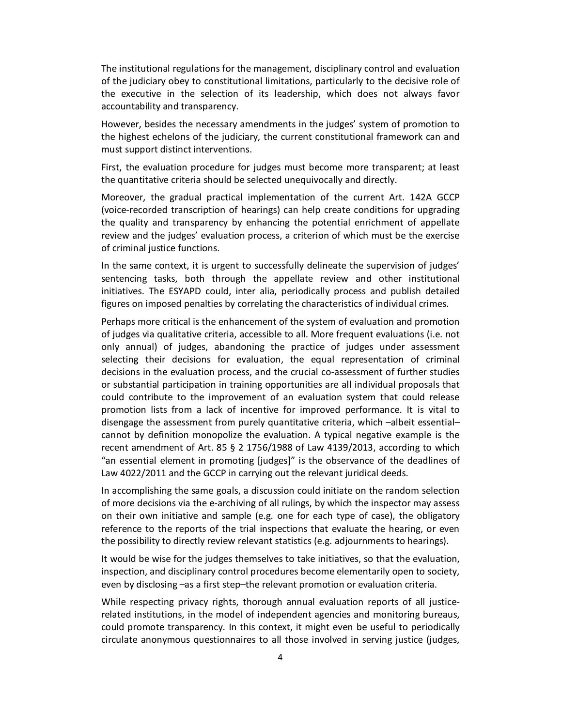The institutional regulations for the management, disciplinary control and evaluation of the judiciary obey to constitutional limitations, particularly to the decisive role of the executive in the selection of its leadership, which does not always favor accountability and transparency.

However, besides the necessary amendments in the judges' system of promotion to the highest echelons of the judiciary, the current constitutional framework can and must support distinct interventions.

First, the evaluation procedure for judges must become more transparent; at least the quantitative criteria should be selected unequivocally and directly.

Moreover, the gradual practical implementation of the current Art. 142A GCCP (voice-recorded transcription of hearings) can help create conditions for upgrading the quality and transparency by enhancing the potential enrichment of appellate review and the judges' evaluation process, a criterion of which must be the exercise of criminal justice functions.

In the same context, it is urgent to successfully delineate the supervision of judges' sentencing tasks, both through the appellate review and other institutional initiatives. The ESYAPD could, inter alia, periodically process and publish detailed figures on imposed penalties by correlating the characteristics of individual crimes.

Perhaps more critical is the enhancement of the system of evaluation and promotion of judges via qualitative criteria, accessible to all. More frequent evaluations (i.e. not only annual) of judges, abandoning the practice of judges under assessment selecting their decisions for evaluation, the equal representation of criminal decisions in the evaluation process, and the crucial co-assessment of further studies or substantial participation in training opportunities are all individual proposals that could contribute to the improvement of an evaluation system that could release promotion lists from a lack of incentive for improved performance. It is vital to disengage the assessment from purely quantitative criteria, which –albeit essential– cannot by definition monopolize the evaluation. A typical negative example is the recent amendment of Art. 85 § 2 1756/1988 of Law 4139/2013, according to which "an essential element in promoting [judges]" is the observance of the deadlines of Law 4022/2011 and the GCCP in carrying out the relevant juridical deeds.

In accomplishing the same goals, a discussion could initiate on the random selection of more decisions via the e-archiving of all rulings, by which the inspector may assess on their own initiative and sample (e.g. one for each type of case), the obligatory reference to the reports of the trial inspections that evaluate the hearing, or even the possibility to directly review relevant statistics (e.g. adjournments to hearings).

It would be wise for the judges themselves to take initiatives, so that the evaluation, inspection, and disciplinary control procedures become elementarily open to society, even by disclosing –as a first step–the relevant promotion or evaluation criteria.

While respecting privacy rights, thorough annual evaluation reports of all justicerelated institutions, in the model of independent agencies and monitoring bureaus, could promote transparency. In this context, it might even be useful to periodically circulate anonymous questionnaires to all those involved in serving justice (judges,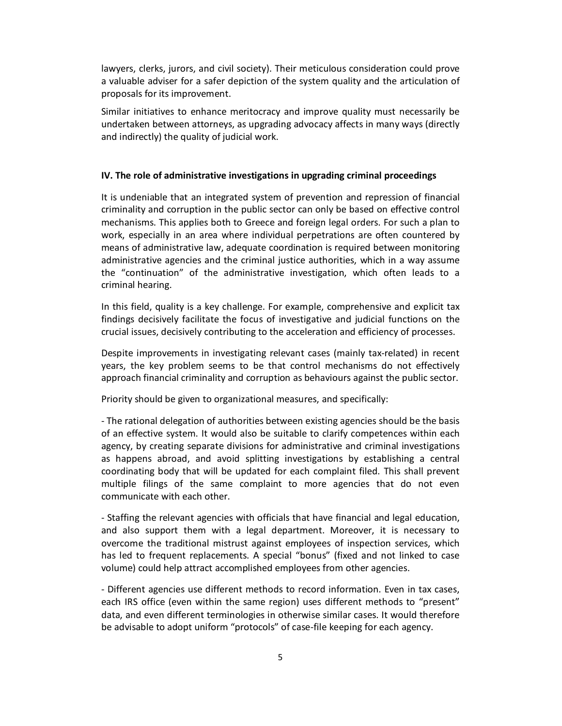lawyers, clerks, jurors, and civil society). Their meticulous consideration could prove a valuable adviser for a safer depiction of the system quality and the articulation of proposals for its improvement.

Similar initiatives to enhance meritocracy and improve quality must necessarily be undertaken between attorneys, as upgrading advocacy affects in many ways (directly and indirectly) the quality of judicial work.

#### **IV. The role of administrative investigations in upgrading criminal proceedings**

It is undeniable that an integrated system of prevention and repression of financial criminality and corruption in the public sector can only be based on effective control mechanisms. This applies both to Greece and foreign legal orders. For such a plan to work, especially in an area where individual perpetrations are often countered by means of administrative law, adequate coordination is required between monitoring administrative agencies and the criminal justice authorities, which in a way assume the "continuation" of the administrative investigation, which often leads to a criminal hearing.

In this field, quality is a key challenge. For example, comprehensive and explicit tax findings decisively facilitate the focus of investigative and judicial functions on the crucial issues, decisively contributing to the acceleration and efficiency of processes.

Despite improvements in investigating relevant cases (mainly tax-related) in recent years, the key problem seems to be that control mechanisms do not effectively approach financial criminality and corruption as behaviours against the public sector.

Priority should be given to organizational measures, and specifically:

- The rational delegation of authorities between existing agencies should be the basis of an effective system. It would also be suitable to clarify competences within each agency, by creating separate divisions for administrative and criminal investigations as happens abroad, and avoid splitting investigations by establishing a central coordinating body that will be updated for each complaint filed. This shall prevent multiple filings of the same complaint to more agencies that do not even communicate with each other.

- Staffing the relevant agencies with officials that have financial and legal education, and also support them with a legal department. Moreover, it is necessary to overcome the traditional mistrust against employees of inspection services, which has led to frequent replacements. A special "bonus" (fixed and not linked to case volume) could help attract accomplished employees from other agencies.

- Different agencies use different methods to record information. Even in tax cases, each IRS office (even within the same region) uses different methods to "present" data, and even different terminologies in otherwise similar cases. It would therefore be advisable to adopt uniform "protocols" of case-file keeping for each agency.